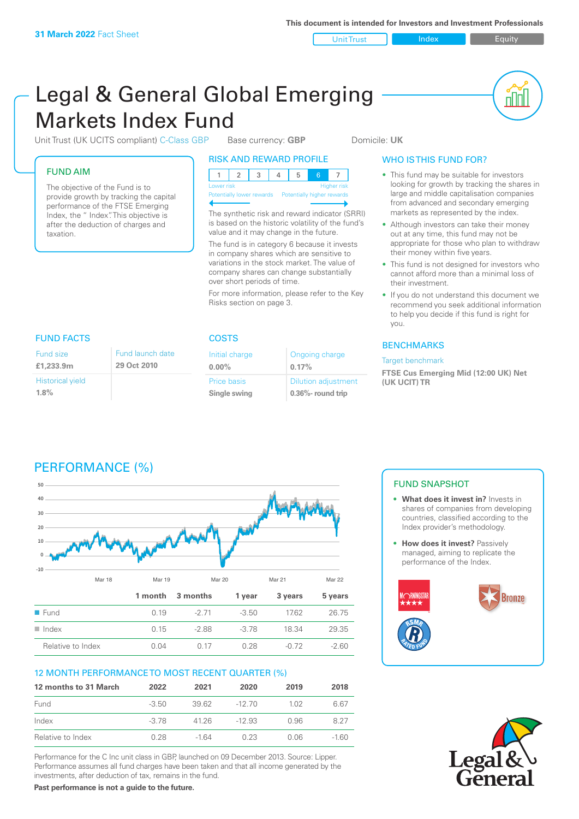Unit Trust Index **Index** Equity

nN

# Legal & General Global Emerging Markets Index Fund

Unit Trust (UK UCITS compliant) C-Class GBP Base currency: GBP Domicile: UK

### FUND AIM

The objective of the Fund is to provide growth by tracking the capital performance of the FTSE Emerging Index, the " Index". This objective is after the deduction of charges and taxation.

#### RISK AND REWARD PROFILE

| Lower risk |  |  |  | <b>Higher risk</b> |
|------------|--|--|--|--------------------|

**Potentially lower rewards** 

The synthetic risk and reward indicator (SRRI) is based on the historic volatility of the fund's value and it may change in the future.

The fund is in category 6 because it invests in company shares which are sensitive to variations in the stock market. The value of company shares can change substantially over short periods of time.

For more information, please refer to the Key Risks section on page 3.

### WHO IS THIS FUND FOR?

- This fund may be suitable for investors looking for growth by tracking the shares in large and middle capitalisation companies from advanced and secondary emerging markets as represented by the index.
- Although investors can take their money out at any time, this fund may not be appropriate for those who plan to withdraw their money within five years.
- This fund is not designed for investors who cannot afford more than a minimal loss of their investment.
- If you do not understand this document we recommend you seek additional information to help you decide if this fund is right for you.

#### **BENCHMARKS**

#### Target benchmark

**FTSE Cus Emerging Mid (12:00 UK) Net (UK UCIT) TR**

# FUND FACTS COSTS

| Fund size                       | Fund launch date |
|---------------------------------|------------------|
| £1,233.9m                       | 29 Oct 2010      |
| <b>Historical yield</b><br>1.8% |                  |

| Initial charge | Ongoing charge             |
|----------------|----------------------------|
| $0.00\%$       | 0.17%                      |
| Price basis    | <b>Dilution adjustment</b> |
| Single swing   | $0.36\%$ - round trip      |

# PERFORMANCE (%)



#### 12 MONTH PERFORMANCE TO MOST RECENT QUARTER (%)

| 12 months to 31 March | 2022    | 2021  | 2020     | 2019  | 2018   |
|-----------------------|---------|-------|----------|-------|--------|
| Fund                  | $-3.50$ | 39.62 | -12 70   | 1.02  | 6.67   |
| Index                 | $-3.78$ | 4126  | $-12.93$ | O 96  | 8.27   |
| Relative to Index     | 0.28    | -1.64 | 0.23     | 0 0 6 | -1 60. |

Performance for the C Inc unit class in GBP, launched on 09 December 2013. Source: Lipper. Performance assumes all fund charges have been taken and that all income generated by the investments, after deduction of tax, remains in the fund.

FUND SNAPSHOT

- **• What does it invest in?** Invests in shares of companies from developing countries, classified according to the Index provider's methodology.
- **How does it invest?** Passively managed, aiming to replicate the performance of the Index.





**Past performance is not a guide to the future.**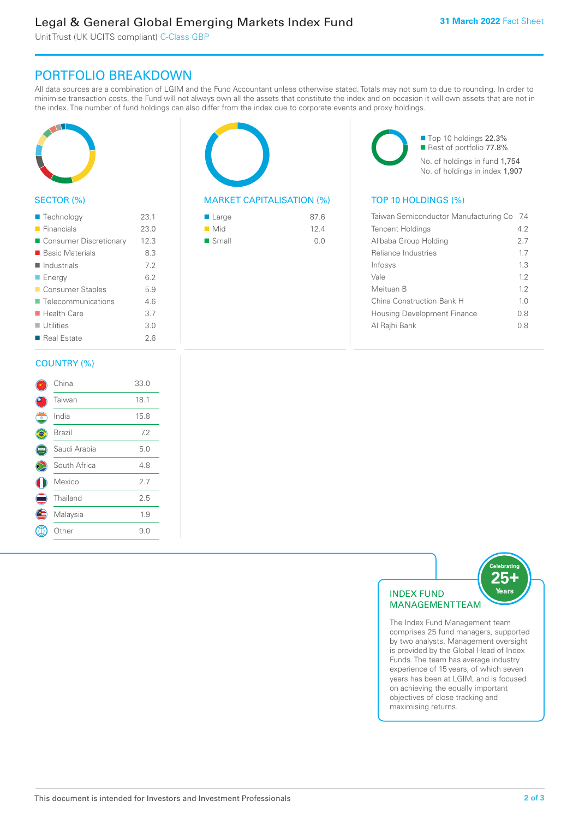Unit Trust (UK UCITS compliant) C-Class GBP

# PORTFOLIO BREAKDOWN

All data sources are a combination of LGIM and the Fund Accountant unless otherwise stated. Totals may not sum to due to rounding. In order to minimise transaction costs, the Fund will not always own all the assets that constitute the index and on occasion it will own assets that are not in the index. The number of fund holdings can also differ from the index due to corporate events and proxy holdings.



#### SECTOR (%)

| ■ Technology               | 23.1 |
|----------------------------|------|
| $\blacksquare$ Financials  | 23.0 |
| ■ Consumer Discretionary   | 12.3 |
| ■ Basic Materials          | 8.3  |
| $\blacksquare$ Industrials | 7.2  |
| <b>Energy</b>              | 6.2  |
| Consumer Staples           | 5.9  |
| ■ Telecommunications       | 46   |
| $\blacksquare$ Health Care | 3.7  |
| $\blacksquare$ Utilities   | 3.0  |
| ■ Real Estate              | 26   |
|                            |      |

#### MARKET CAPITALISATION (%) TOP 10 HOLDINGS (%)

| ■ Large              | 87.6 |
|----------------------|------|
| $\blacksquare$ Mid   | 124  |
| $\blacksquare$ Small | 0.0  |

■ Top 10 holdings 22.3% Rest of portfolio 77.8% No. of holdings in fund 1,754 No. of holdings in index 1,907

| Taiwan Semiconductor Manufacturing Co | -7.4 |
|---------------------------------------|------|
| <b>Tencent Holdings</b>               | 4.2  |
| Alibaba Group Holding                 | 2.7  |
| Reliance Industries                   | 1.7  |
| Infosys                               | 1.3  |
| Vale                                  | 12   |
| Meituan B                             | 12   |
| China Construction Bank H             | 1.0  |
| <b>Housing Development Finance</b>    | 0.8  |
| Al Rajhi Bank                         | 0 8  |
|                                       |      |

#### COUNTRY (%)

|   | China        | 33.0 |  |
|---|--------------|------|--|
|   | Taiwan       | 18.1 |  |
| Ō | India        | 15.8 |  |
|   | Brazil       | 7.2  |  |
|   | Saudi Arabia | 5.0  |  |
|   | South Africa | 4.8  |  |
|   | Mexico       | 2.7  |  |
|   | Thailand     | 2.5  |  |
|   | Malaysia     | 1.9  |  |
|   | Other        | 9.0  |  |
|   |              |      |  |



The Index Fund Management team comprises 25 fund managers, supported by two analysts. Management oversight is provided by the Global Head of Index Funds. The team has average industry experience of 15 years, of which seven years has been at LGIM, and is focused on achieving the equally important objectives of close tracking and maximising returns.